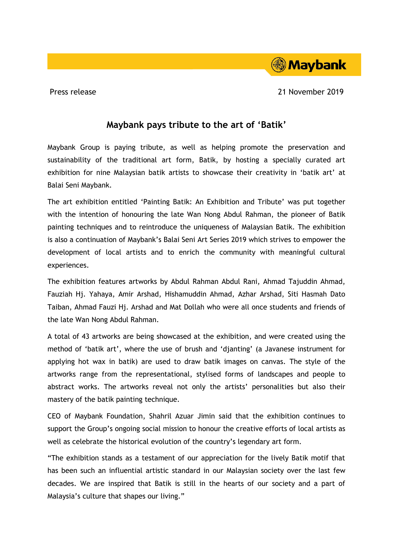## **Maybank pays tribute to the art of 'Batik'**

Maybank Group is paying tribute, as well as helping promote the preservation and sustainability of the traditional art form, Batik, by hosting a specially curated art exhibition for nine Malaysian batik artists to showcase their creativity in 'batik art' at Balai Seni Maybank.

The art exhibition entitled 'Painting Batik: An Exhibition and Tribute' was put together with the intention of honouring the late Wan Nong Abdul Rahman, the pioneer of Batik painting techniques and to reintroduce the uniqueness of Malaysian Batik. The exhibition is also a continuation of Maybank's Balai Seni Art Series 2019 which strives to empower the development of local artists and to enrich the community with meaningful cultural experiences.

The exhibition features artworks by Abdul Rahman Abdul Rani, Ahmad Tajuddin Ahmad, Fauziah Hj. Yahaya, Amir Arshad, Hishamuddin Ahmad, Azhar Arshad, Siti Hasmah Dato Taiban, Ahmad Fauzi Hj. Arshad and Mat Dollah who were all once students and friends of the late Wan Nong Abdul Rahman.

A total of 43 artworks are being showcased at the exhibition, and were created using the method of 'batik art', where the use of brush and 'djanting' (a Javanese instrument for applying hot wax in batik) are used to draw batik images on canvas. The style of the artworks range from the representational, stylised forms of landscapes and people to abstract works. The artworks reveal not only the artists' personalities but also their mastery of the batik painting technique.

CEO of Maybank Foundation, Shahril Azuar Jimin said that the exhibition continues to support the Group's ongoing social mission to honour the creative efforts of local artists as well as celebrate the historical evolution of the country's legendary art form.

"The exhibition stands as a testament of our appreciation for the lively Batik motif that has been such an influential artistic standard in our Malaysian society over the last few decades. We are inspired that Batik is still in the hearts of our society and a part of Malaysia's culture that shapes our living."



Press release 21 November 2019